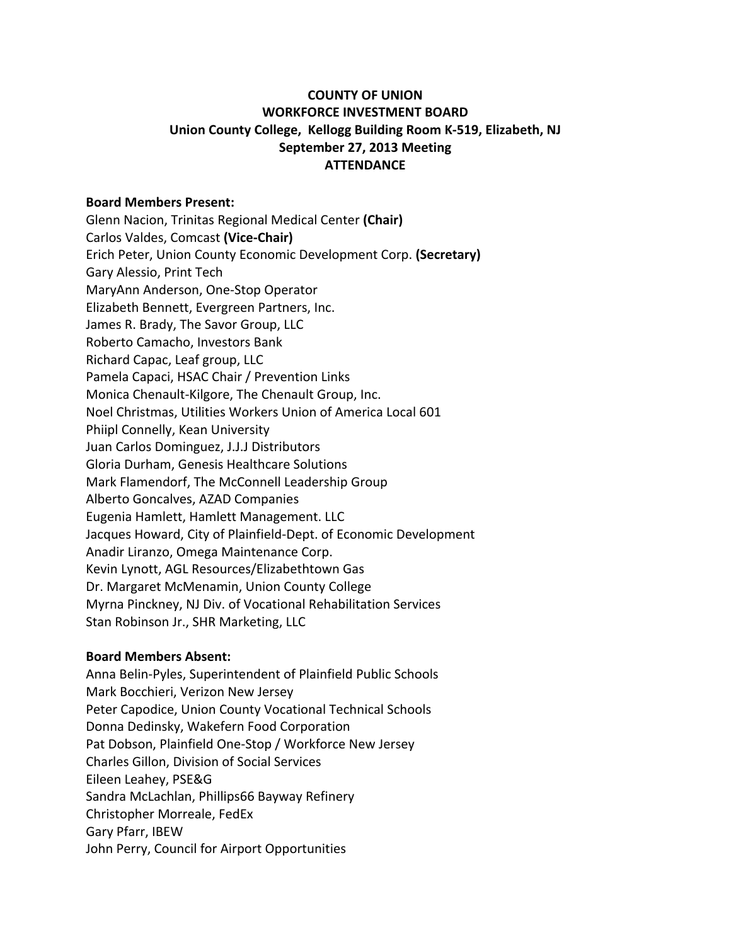# **COUNTY OF UNION WORKFORCE INVESTMENT BOARD Union County College, Kellogg Building Room K-519, Elizabeth, NJ September 27, 2013 Meeting ATTENDANCE**

# **Board Members Present:**

Glenn Nacion, Trinitas Regional Medical Center **(Chair)** Carlos Valdes, Comcast **(Vice-Chair)** Erich Peter, Union County Economic Development Corp. (Secretary) Gary Alessio, Print Tech MaryAnn Anderson, One-Stop Operator Elizabeth Bennett, Evergreen Partners, Inc. James R. Brady, The Savor Group, LLC Roberto Camacho, Investors Bank Richard Capac, Leaf group, LLC Pamela Capaci, HSAC Chair / Prevention Links Monica Chenault-Kilgore, The Chenault Group, Inc. Noel Christmas, Utilities Workers Union of America Local 601 Phiipl Connelly, Kean University Juan Carlos Dominguez, J.J.J Distributors Gloria Durham, Genesis Healthcare Solutions Mark Flamendorf, The McConnell Leadership Group Alberto Goncalves, AZAD Companies Eugenia Hamlett, Hamlett Management. LLC Jacques Howard, City of Plainfield-Dept. of Economic Development Anadir Liranzo, Omega Maintenance Corp. Kevin Lynott, AGL Resources/Elizabethtown Gas Dr. Margaret McMenamin, Union County College Myrna Pinckney, NJ Div. of Vocational Rehabilitation Services Stan Robinson Jr., SHR Marketing, LLC

# **Board Members Absent:**

Anna Belin-Pyles, Superintendent of Plainfield Public Schools Mark Bocchieri, Verizon New Jersey Peter Capodice, Union County Vocational Technical Schools Donna Dedinsky, Wakefern Food Corporation Pat Dobson, Plainfield One-Stop / Workforce New Jersey Charles Gillon, Division of Social Services Eileen Leahey, PSE&G Sandra McLachlan, Phillips66 Bayway Refinery Christopher Morreale, FedEx Gary Pfarr, IBEW John Perry, Council for Airport Opportunities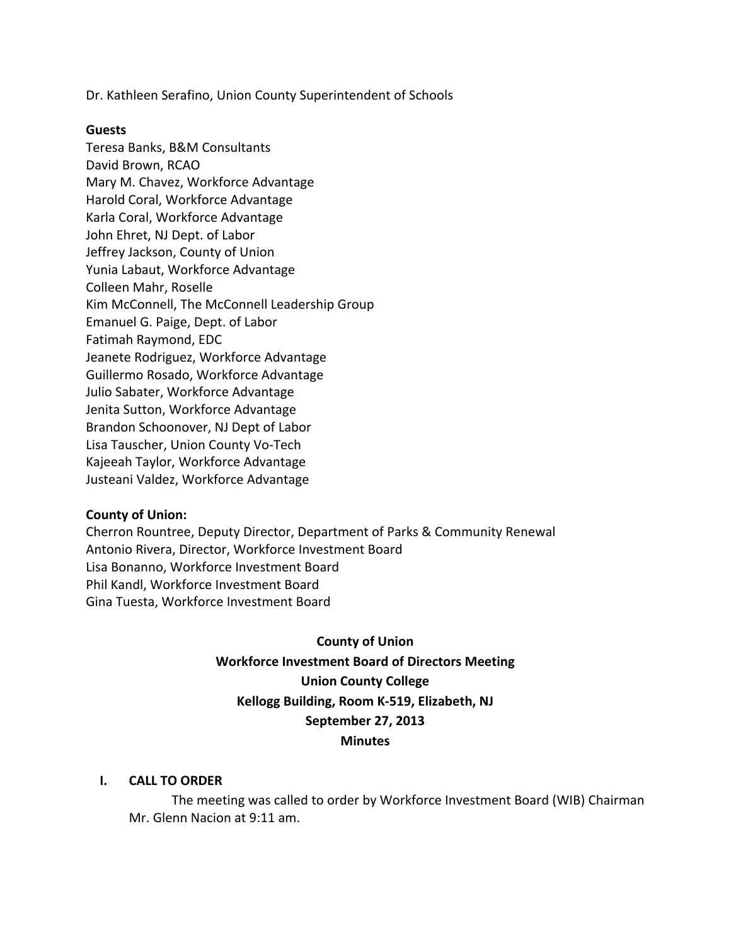Dr. Kathleen Serafino, Union County Superintendent of Schools

#### **Guests**

Teresa Banks, B&M Consultants David Brown, RCAO Mary M. Chavez, Workforce Advantage Harold Coral, Workforce Advantage Karla Coral, Workforce Advantage John Ehret, NJ Dept. of Labor Jeffrey Jackson, County of Union Yunia Labaut, Workforce Advantage Colleen Mahr, Roselle Kim McConnell, The McConnell Leadership Group Emanuel G. Paige, Dept. of Labor Fatimah Raymond, EDC Jeanete Rodriguez, Workforce Advantage Guillermo Rosado, Workforce Advantage Julio Sabater, Workforce Advantage Jenita Sutton, Workforce Advantage Brandon Schoonover, NJ Dept of Labor Lisa Tauscher, Union County Vo-Tech Kajeeah Taylor, Workforce Advantage Justeani Valdez, Workforce Advantage

# **County of Union:**

Cherron Rountree, Deputy Director, Department of Parks & Community Renewal Antonio Rivera, Director, Workforce Investment Board Lisa Bonanno, Workforce Investment Board Phil Kandl, Workforce Investment Board Gina Tuesta, Workforce Investment Board

# **County of Union Workforce Investment Board of Directors Meeting Union County College** Kellogg Building, Room K-519, Elizabeth, NJ **September 27, 2013 Minutes**

#### **I. CALL TO ORDER**

The meeting was called to order by Workforce Investment Board (WIB) Chairman Mr. Glenn Nacion at 9:11 am.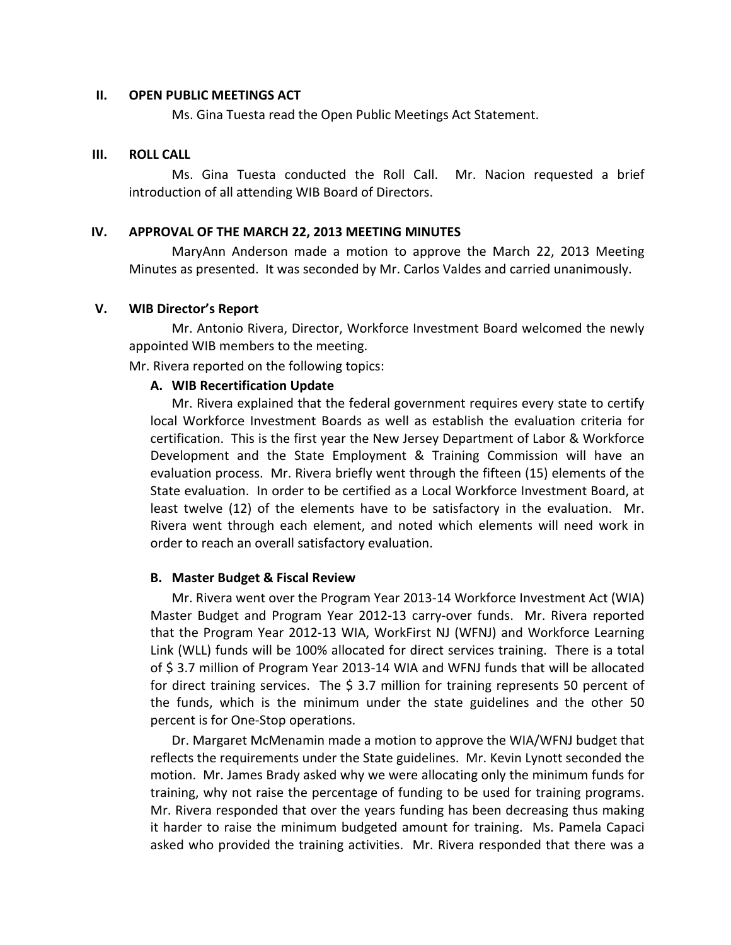#### **II. OPEN PUBLIC MEETINGS ACT**

Ms. Gina Tuesta read the Open Public Meetings Act Statement.

#### **III. ROLL CALL**

Ms. Gina Tuesta conducted the Roll Call. Mr. Nacion requested a brief introduction of all attending WIB Board of Directors.

## **IV.** APPROVAL OF THE MARCH 22, 2013 MEETING MINUTES

MaryAnn Anderson made a motion to approve the March 22, 2013 Meeting Minutes as presented. It was seconded by Mr. Carlos Valdes and carried unanimously.

## **V. WIB Director's Report**

Mr. Antonio Rivera, Director, Workforce Investment Board welcomed the newly appointed WIB members to the meeting.

Mr. Rivera reported on the following topics:

#### **A. WIB Recertification Update**

Mr. Rivera explained that the federal government requires every state to certify local Workforce Investment Boards as well as establish the evaluation criteria for certification. This is the first year the New Jersey Department of Labor & Workforce Development and the State Employment & Training Commission will have an evaluation process. Mr. Rivera briefly went through the fifteen (15) elements of the State evaluation. In order to be certified as a Local Workforce Investment Board, at least twelve (12) of the elements have to be satisfactory in the evaluation. Mr. Rivera went through each element, and noted which elements will need work in order to reach an overall satisfactory evaluation.

#### **B. Master Budget & Fiscal Review**

Mr. Rivera went over the Program Year 2013-14 Workforce Investment Act (WIA) Master Budget and Program Year 2012-13 carry-over funds. Mr. Rivera reported that the Program Year 2012-13 WIA, WorkFirst NJ (WFNJ) and Workforce Learning Link (WLL) funds will be 100% allocated for direct services training. There is a total of \$3.7 million of Program Year 2013-14 WIA and WFNJ funds that will be allocated for direct training services. The  $\frac{2}{3}$  million for training represents 50 percent of the funds, which is the minimum under the state guidelines and the other 50 percent is for One-Stop operations.

Dr. Margaret McMenamin made a motion to approve the WIA/WFNJ budget that reflects the requirements under the State guidelines. Mr. Kevin Lynott seconded the motion. Mr. James Brady asked why we were allocating only the minimum funds for training, why not raise the percentage of funding to be used for training programs. Mr. Rivera responded that over the years funding has been decreasing thus making it harder to raise the minimum budgeted amount for training. Ms. Pamela Capaci asked who provided the training activities. Mr. Rivera responded that there was a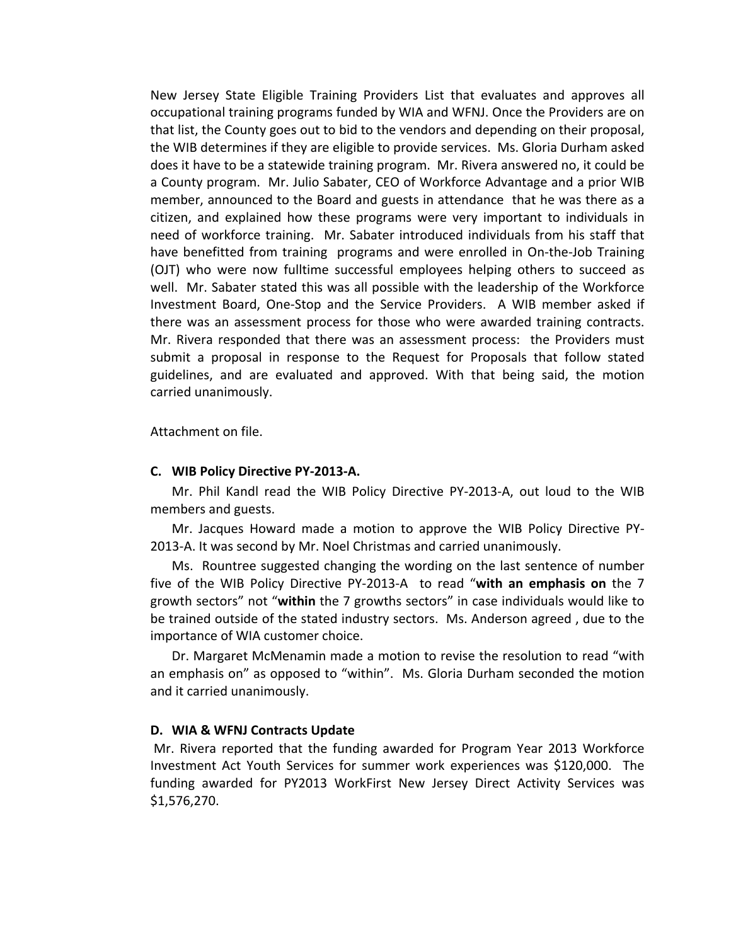New Jersey State Eligible Training Providers List that evaluates and approves all occupational training programs funded by WIA and WFNJ. Once the Providers are on that list, the County goes out to bid to the vendors and depending on their proposal, the WIB determines if they are eligible to provide services. Ms. Gloria Durham asked does it have to be a statewide training program. Mr. Rivera answered no, it could be a County program. Mr. Julio Sabater, CEO of Workforce Advantage and a prior WIB member, announced to the Board and guests in attendance that he was there as a citizen, and explained how these programs were very important to individuals in need of workforce training. Mr. Sabater introduced individuals from his staff that have benefitted from training programs and were enrolled in On-the-Job Training (OJT) who were now fulltime successful employees helping others to succeed as well. Mr. Sabater stated this was all possible with the leadership of the Workforce Investment Board, One-Stop and the Service Providers. A WIB member asked if there was an assessment process for those who were awarded training contracts. Mr. Rivera responded that there was an assessment process: the Providers must submit a proposal in response to the Request for Proposals that follow stated guidelines, and are evaluated and approved. With that being said, the motion carried unanimously.

Attachment on file.

#### **C. WIB Policy Directive PY-2013-A.**

Mr. Phil Kandl read the WIB Policy Directive PY-2013-A, out loud to the WIB members and guests.

Mr. Jacques Howard made a motion to approve the WIB Policy Directive PY-2013-A. It was second by Mr. Noel Christmas and carried unanimously.

Ms. Rountree suggested changing the wording on the last sentence of number five of the WIB Policy Directive PY-2013-A to read "with an emphasis on the 7 growth sectors" not "within the 7 growths sectors" in case individuals would like to be trained outside of the stated industry sectors. Ms. Anderson agreed, due to the importance of WIA customer choice.

Dr. Margaret McMenamin made a motion to revise the resolution to read "with an emphasis on" as opposed to "within". Ms. Gloria Durham seconded the motion and it carried unanimously.

#### **D. WIA & WFNJ Contracts Update**

Mr. Rivera reported that the funding awarded for Program Year 2013 Workforce Investment Act Youth Services for summer work experiences was \$120,000. The funding awarded for PY2013 WorkFirst New Jersey Direct Activity Services was \$1,576,270.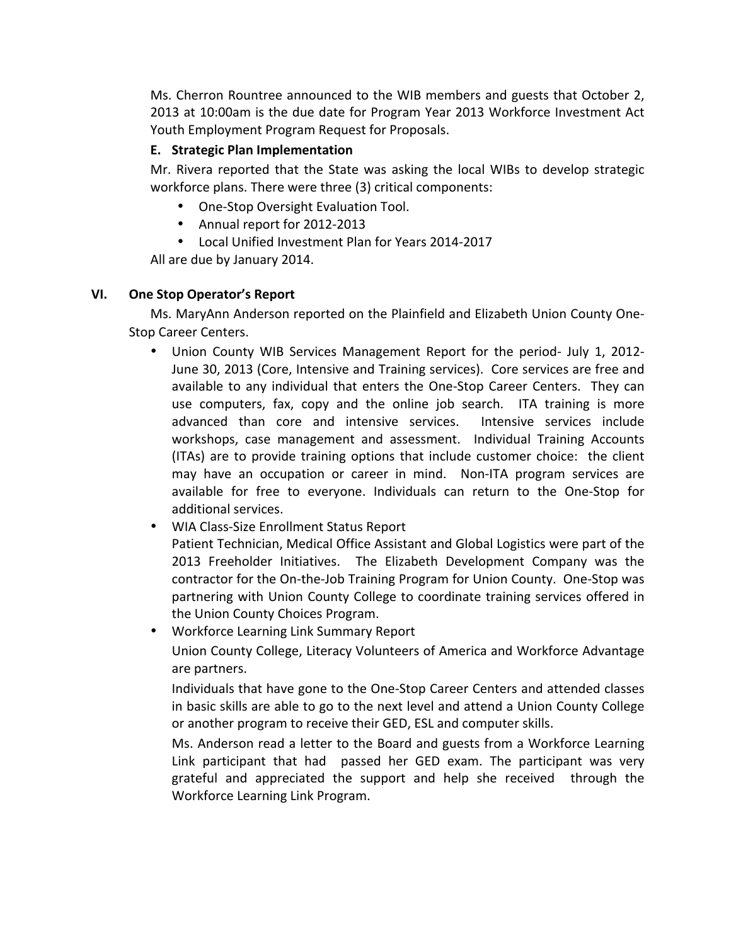Ms. Cherron Rountree announced to the WIB members and guests that October 2, 2013 at 10:00am is the due date for Program Year 2013 Workforce Investment Act Youth Employment Program Request for Proposals.

# **E. Strategic Plan Implementation**

Mr. Rivera reported that the State was asking the local WIBs to develop strategic workforce plans. There were three (3) critical components:

- One-Stop Oversight Evaluation Tool.
- Annual report for 2012-2013
- Local Unified Investment Plan for Years 2014-2017

All are due by January 2014.

# **VI. One Stop Operator's Report**

Ms. MaryAnn Anderson reported on the Plainfield and Elizabeth Union County One-Stop Career Centers.

- Union County WIB Services Management Report for the period- July 1, 2012-June 30, 2013 (Core, Intensive and Training services). Core services are free and available to any individual that enters the One-Stop Career Centers. They can use computers, fax, copy and the online job search. ITA training is more advanced than core and intensive services. Intensive services include workshops, case management and assessment. Individual Training Accounts (ITAs) are to provide training options that include customer choice: the client may have an occupation or career in mind. Non-ITA program services are available for free to everyone. Individuals can return to the One-Stop for additional services.
- WIA Class-Size Enrollment Status Report Patient Technician, Medical Office Assistant and Global Logistics were part of the 2013 Freeholder Initiatives. The Elizabeth Development Company was the contractor for the On-the-Job Training Program for Union County. One-Stop was partnering with Union County College to coordinate training services offered in the Union County Choices Program.
- Workforce Learning Link Summary Report

Union County College, Literacy Volunteers of America and Workforce Advantage are partners.

Individuals that have gone to the One-Stop Career Centers and attended classes in basic skills are able to go to the next level and attend a Union County College or another program to receive their GED, ESL and computer skills.

Ms. Anderson read a letter to the Board and guests from a Workforce Learning Link participant that had passed her GED exam. The participant was very grateful and appreciated the support and help she received through the Workforce Learning Link Program.